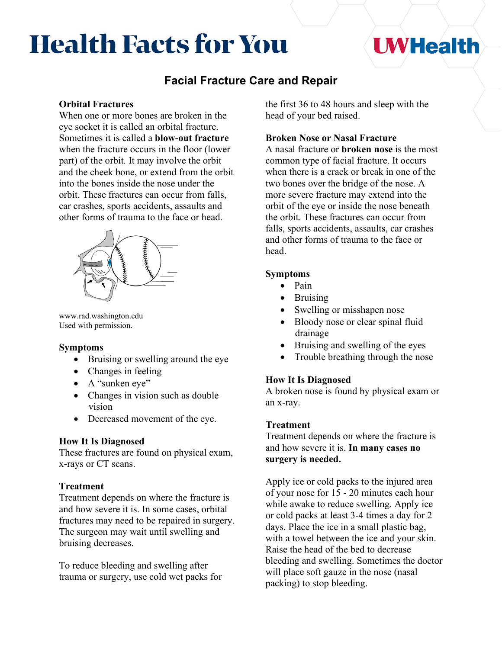# **Health Facts for You**

## **I WHealth**

### **Facial Fracture Care and Repair**

#### **Orbital Fractures**

When one or more bones are broken in the eye socket it is called an orbital fracture. Sometimes it is called a **blow-out fracture** when the fracture occurs in the floor (lower part) of the orbit*.* It may involve the orbit and the cheek bone, or extend from the orbit into the bones inside the nose under the orbit. These fractures can occur from falls, car crashes, sports accidents, assaults and other forms of trauma to the face or head.



www.rad.washington.edu Used with permission.

#### **Symptoms**

- Bruising or swelling around the eye
- Changes in feeling
- A "sunken eye"
- Changes in vision such as double vision
- Decreased movement of the eye.

#### **How It Is Diagnosed**

These fractures are found on physical exam, x-rays or CT scans.

#### **Treatment**

Treatment depends on where the fracture is and how severe it is. In some cases, orbital fractures may need to be repaired in surgery. The surgeon may wait until swelling and bruising decreases.

To reduce bleeding and swelling after trauma or surgery, use cold wet packs for the first 36 to 48 hours and sleep with the head of your bed raised.

#### **Broken Nose or Nasal Fracture**

A nasal fracture or **broken nose** is the most common type of facial fracture. It occurs when there is a crack or break in one of the two bones over the bridge of the nose. A more severe fracture may extend into the orbit of the eye or inside the nose beneath the orbit. These fractures can occur from falls, sports accidents, assaults, car crashes and other forms of trauma to the face or head.

#### **Symptoms**

- Pain
- Bruising
- Swelling or misshapen nose
- Bloody nose or clear spinal fluid drainage
- Bruising and swelling of the eyes
- Trouble breathing through the nose

#### **How It Is Diagnosed**

A broken nose is found by physical exam or an x-ray.

#### **Treatment**

Treatment depends on where the fracture is and how severe it is. **In many cases no surgery is needed.**

Apply ice or cold packs to the injured area of your nose for 15 - 20 minutes each hour while awake to reduce swelling. Apply ice or cold packs at least 3-4 times a day for 2 days. Place the ice in a small plastic bag, with a towel between the ice and your skin. Raise the head of the bed to decrease bleeding and swelling. Sometimes the doctor will place soft gauze in the nose (nasal packing) to stop bleeding.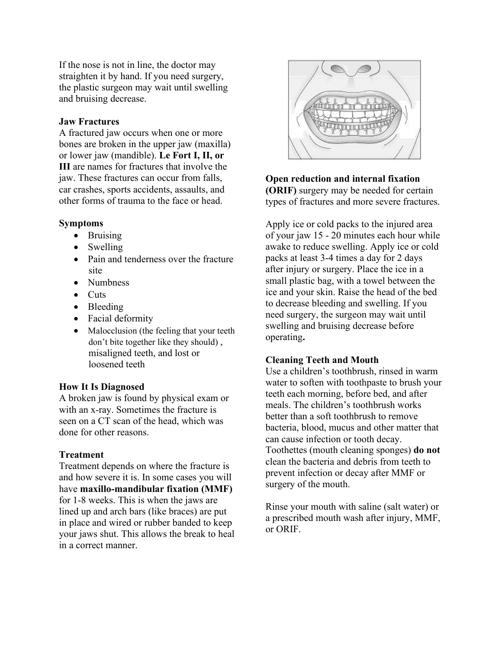If the nose is not in line, the doctor may straighten it by hand. If you need surgery, the plastic surgeon may wait until swelling and bruising decrease.

#### **Jaw Fractures**

A fractured jaw occurs when one or more bones are broken in the upper jaw (maxilla) or lower jaw (mandible). **Le Fort I, II, or III** are names for fractures that involve the jaw. These fractures can occur from falls, car crashes, sports accidents, assaults, and other forms of trauma to the face or head.

#### **Symptoms**

- Bruising
- Swelling
- Pain and tenderness over the fracture site
- Numbness
- Cuts
- Bleeding
- Facial deformity
- Malocclusion (the feeling that your teeth don't bite together like they should) , misaligned teeth, and lost or loosened teeth

#### **How It Is Diagnosed**

A broken jaw is found by physical exam or with an x-ray. Sometimes the fracture is seen on a CT scan of the head, which was done for other reasons.

#### **Treatment**

Treatment depends on where the fracture is and how severe it is. In some cases you will have **maxillo-mandibular fixation (MMF)**  for 1-8 weeks. This is when the jaws are lined up and arch bars (like braces) are put in place and wired or rubber banded to keep your jaws shut. This allows the break to heal in a correct manner.



**Open reduction and internal fixation (ORIF)** surgery may be needed for certain types of fractures and more severe fractures.

Apply ice or cold packs to the injured area of your jaw 15 - 20 minutes each hour while awake to reduce swelling. Apply ice or cold packs at least 3-4 times a day for 2 days after injury or surgery. Place the ice in a small plastic bag, with a towel between the ice and your skin. Raise the head of the bed to decrease bleeding and swelling. If you need surgery, the surgeon may wait until swelling and bruising decrease before operating**.**

#### **Cleaning Teeth and Mouth**

Use a children's toothbrush, rinsed in warm water to soften with toothpaste to brush your teeth each morning, before bed, and after meals. The children's toothbrush works better than a soft toothbrush to remove bacteria, blood, mucus and other matter that can cause infection or tooth decay. Toothettes (mouth cleaning sponges) **do not** clean the bacteria and debris from teeth to prevent infection or decay after MMF or surgery of the mouth.

Rinse your mouth with saline (salt water) or a prescribed mouth wash after injury, MMF, or ORIF.